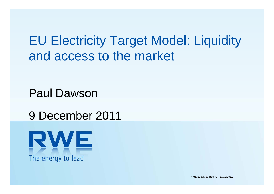EU Electricity Target Model: Liquidity and access to the market

Paul Dawson

# 9 December 2011



**RWE** Supply & Trading 13/12/2011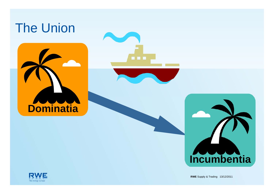# The Union

**Dominatia**









**RWE** Supply & Trading  $13/12/2011$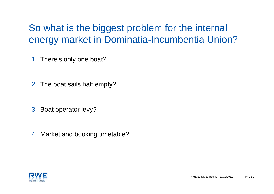## So what is the biggest problem for the internal energy market in Dominatia-Incumbentia Union?

1. There's only one boat?

- 2. The boat sails half empty?
- 3. Boat operator levy?

4. Market and booking timetable?

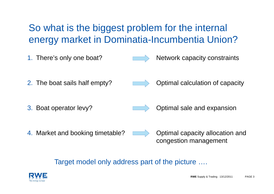### So what is the biggest problem for the internal energy market in Dominatia-Incumbentia Union?

1. There's only one boat?



Network capacity constraints

2. The boat sails half empty?



Optimal calculation of capacity

3. Boat operator levy?



Optimal sale and expansion

4. Market and booking timetable?

Optimal capacity allocation and congestion management

Target model only address part of the picture ….

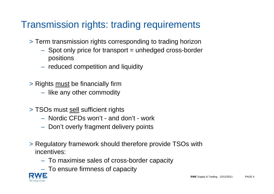#### Transmission rights: trading requirements

- > Term transmission rights corresponding to trading horizon
	- Spot only price for transport = unhedged cross-border positions
	- $-$  reduced competition and liquidity
- > Rights <u>must</u> be financially firm
	- $-$  like any other commodity
- > TSOs must <u>sell</u> sufficient rights
	- Nordic CFDs won't and don't work
	- $-$  Don't overly fragment delivery points
- > Regulatory framework should therefore provide TSOs with incentives:
	- To maximise sales of cross-border capacity
	- $-$  To ensure firmness of capacity

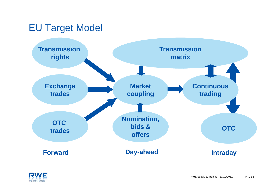#### EU Target Model



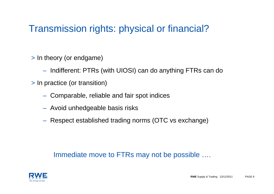### Transmission rights: physical or financial?

- > In theory (or endgame)
	- $-$  Indifferent: PTRs (with UIOSI) can do anything FTRs can do
- > In practice (or transition)
	- Comparable, reliable and fair spot indices
	- Avoid unhedgeable basis risks
	- Respect established trading norms (OTC vs exchange)

#### Immediate move to FTRs may not be possible ….

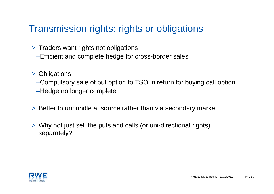#### Transmission rights: rights or obligations

- > Traders want rights not obligations
	- –Efficient and complete hedge for cross-border sales
- > Obligations

–Compulsory sale of put option to TSO in return for buying call option –Hedge no longer complete

- > Better to unbundle at source rather than via secondary market
- > Why not just sell the puts and calls (or uni-directional rights) separately?

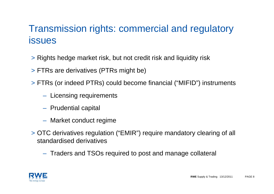### Transmission rights: commercial and regulatory issues

- > Rights hedge market risk, but not credit risk and liquidity risk
- > FTRs are derivatives (PTRs might be)
- > FTRs (or indeed PTRs) could become financial ("MIFID") instruments
	- $-$  Licensing requirements
	- $-$  Prudential capital
	- Market conduct regime
- > OTC derivatives regulation ("EMIR") require mandatory clearing of all standardised derivatives
	- $-$  Traders and TSOs required to post and manage collateral

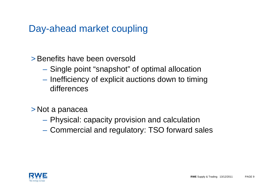#### Day-ahead market coupling

>Benefits have been oversold

- Single point "snapshot" of optimal allocation
- Inefficiency of explicit auctions down to timing differences
- > Not a panacea
	- Physical: capacity provision and calculation
	- –Commercial and regulatory: TSO forward sales

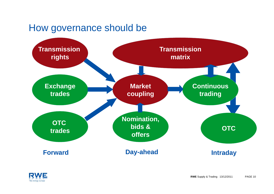#### How governance should be



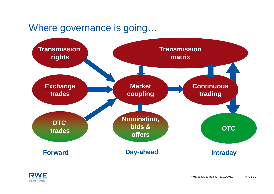#### Where governance is going…



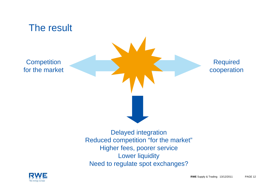

Higher fees, poorer service Lower liquidity Need to regulate spot exchanges?

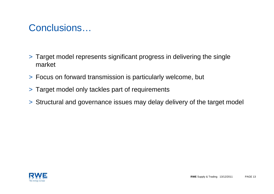#### Conclusions…

- > Target model represents significant progress in delivering the single market
- > Focus on forward transmission is particularly welcome, but
- > Target model only tackles part of requirements
- > Structural and governance issues may delay delivery of the target model

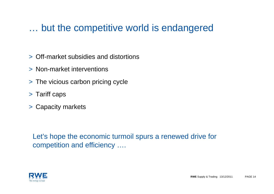#### … but the competitive world is endangered

- > Off-market subsidies and distortions
- > Non-market interventions
- > The vicious carbon pricing cycle
- > Tariff caps
- > Capacity markets

Let's hope the economic turmoil spurs a renewed drive for competition and efficiency ….